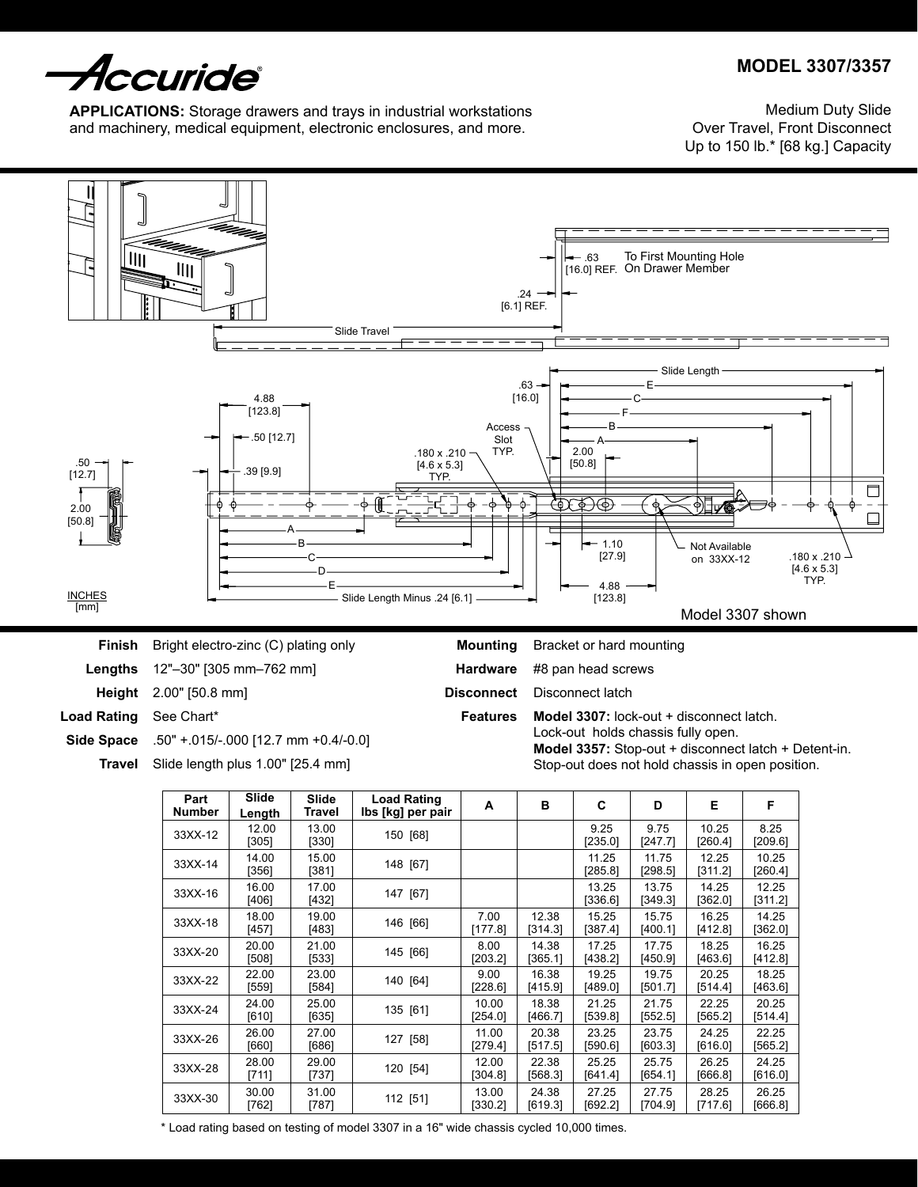

**MODEL 3307/3357**

**APPLICATIONS:** Storage drawers and trays in industrial workstations and machinery, medical equipment, electronic enclosures, and more.

Medium Duty Slide Over Travel, Front Disconnect Up to 150 lb.\* [68 kg.] Capacity



**Side Space**

.50" +.015/-.000 [12.7 mm +0.4/-0.0]

Slide length plus 1.00" [25.4 mm] **Travel**

Lock-out holds chassis fully open. **Model 3357:** Stop-out + disconnect latch + Detent-in. Stop-out does not hold chassis in open position.

| Part<br>Number | Slide<br>Length | Slide<br>Travel  | <b>Load Rating</b><br>lbs [kg] per pair | A                | B                | C                  | D                | Е                | F                |
|----------------|-----------------|------------------|-----------------------------------------|------------------|------------------|--------------------|------------------|------------------|------------------|
| 33XX-12        | 12.00<br>[305]  | 13.00<br>[330]   | 150 [68]                                |                  |                  | 9.25<br>[235.0]    | 9.75<br>[247.7]  | 10.25<br>[260.4] | 8.25<br>[209.6]  |
| 33XX-14        | 14.00<br>[356]  | 15.00<br>[381]   | 148 [67]                                |                  |                  | 11.25<br>$[285.8]$ | 11.75<br>[298.5] | 12.25<br>[311.2] | 10.25<br>[260.4] |
| 33XX-16        | 16.00<br>[406]  | 17.00<br>[432]   | 147 [67]                                |                  |                  | 13.25<br>[336.6]   | 13.75<br>[349.3] | 14.25<br>[362.0] | 12.25<br>[311.2] |
| 33XX-18        | 18.00<br>[457]  | 19.00<br>[483]   | 146 [66]                                | 7.00<br>[177.8]  | 12.38<br>[314.3] | 15.25<br>[387.4]   | 15.75<br>[400.1] | 16.25<br>[412.8] | 14.25<br>[362.0] |
| 33XX-20        | 20.00<br>[508]  | 21.00<br>[533]   | 145 [66]                                | 8.00<br>[203.2]  | 14.38<br>[365.1] | 17.25<br>[438.2]   | 17.75<br>[450.9] | 18.25<br>[463.6] | 16.25<br>[412.8] |
| 33XX-22        | 22.00<br>[559]  | 23.00<br>[584]   | 140 [64]                                | 9.00<br>[228.6]  | 16.38<br>[415.9] | 19.25<br>[489.0]   | 19.75<br>[501.7] | 20.25<br>[514.4] | 18.25<br>[463.6] |
| 33XX-24        | 24.00<br>[610]  | 25.00<br>[635]   | 135 [61]                                | 10.00<br>[254.0] | 18.38<br>[466.7] | 21.25<br>[539.8]   | 21.75<br>[552.5] | 22.25<br>[565.2] | 20.25<br>[514.4] |
| 33XX-26        | 26.00<br>[660]  | 27.00<br>$[686]$ | 127 [58]                                | 11.00<br>[279.4] | 20.38<br>[517.5] | 23.25<br>[590.6]   | 23.75<br>[603.3] | 24.25<br>[616.0] | 22.25<br>[565.2] |
| 33XX-28        | 28.00<br>[711]  | 29.00<br>[737]   | 120 [54]                                | 12.00<br>[304.8] | 22.38<br>[568.3] | 25.25<br>[641.4]   | 25.75<br>[654.1] | 26.25<br>[666.8] | 24.25<br>[616.0] |
| 33XX-30        | 30.00<br>[762]  | 31.00<br>[787]   | 112 [51]                                | 13.00<br>[330.2] | 24.38<br>[619.3] | 27.25<br>[692.2]   | 27.75<br>[704.9] | 28.25<br>[717.6] | 26.25<br>[666.8] |

\* Load rating based on testing of model 3307 in a 16" wide chassis cycled 10,000 times.